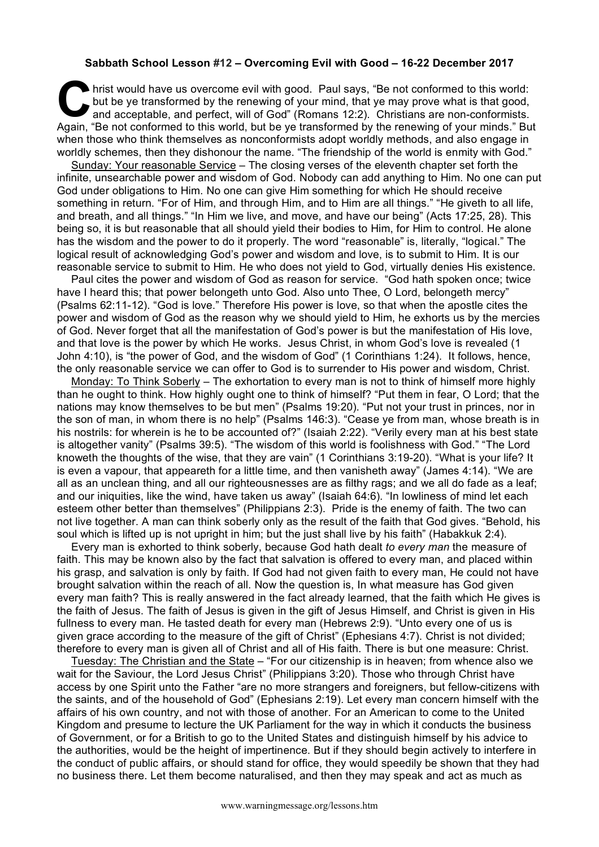## **Sabbath School Lesson #12 – Overcoming Evil with Good – 16-22 December 2017**

hrist would have us overcome evil with good. Paul says, "Be not conformed to this world:<br>
but be ye transformed by the renewing of your mind, that ye may prove what is that good,<br>
and acceptable, and perfect, will of God" but be ye transformed by the renewing of your mind, that ye may prove what is that good, and acceptable, and perfect, will of God" (Romans 12:2). Christians are non-conformists. Again, "Be not conformed to this world, but be ye transformed by the renewing of your minds." But when those who think themselves as nonconformists adopt worldly methods, and also engage in worldly schemes, then they dishonour the name. "The friendship of the world is enmity with God."

Sunday: Your reasonable Service – The closing verses of the eleventh chapter set forth the infinite, unsearchable power and wisdom of God. Nobody can add anything to Him. No one can put God under obligations to Him. No one can give Him something for which He should receive something in return. "For of Him, and through Him, and to Him are all things." "He giveth to all life, and breath, and all things." "In Him we live, and move, and have our being" (Acts 17:25, 28). This being so, it is but reasonable that all should yield their bodies to Him, for Him to control. He alone has the wisdom and the power to do it properly. The word "reasonable" is, literally, "logical." The logical result of acknowledging God's power and wisdom and love, is to submit to Him. It is our reasonable service to submit to Him. He who does not yield to God, virtually denies His existence.

Paul cites the power and wisdom of God as reason for service. "God hath spoken once; twice have I heard this; that power belongeth unto God. Also unto Thee, O Lord, belongeth mercy" (Psalms 62:11-12). "God is love." Therefore His power is love, so that when the apostle cites the power and wisdom of God as the reason why we should yield to Him, he exhorts us by the mercies of God. Never forget that all the manifestation of God's power is but the manifestation of His love, and that love is the power by which He works. Jesus Christ, in whom God's love is revealed (1 John 4:10), is "the power of God, and the wisdom of God" (1 Corinthians 1:24). It follows, hence, the only reasonable service we can offer to God is to surrender to His power and wisdom, Christ.

Monday: To Think Soberly – The exhortation to every man is not to think of himself more highly than he ought to think. How highly ought one to think of himself? "Put them in fear, O Lord; that the nations may know themselves to be but men" (Psalms 19:20). "Put not your trust in princes, nor in the son of man, in whom there is no help" (Psalms 146:3). "Cease ye from man, whose breath is in his nostrils: for wherein is he to be accounted of?" (Isaiah 2:22). "Verily every man at his best state is altogether vanity" (Psalms 39:5). "The wisdom of this world is foolishness with God." "The Lord knoweth the thoughts of the wise, that they are vain" (1 Corinthians 3:19-20). "What is your life? It is even a vapour, that appeareth for a little time, and then vanisheth away" (James 4:14). "We are all as an unclean thing, and all our righteousnesses are as filthy rags; and we all do fade as a leaf; and our iniquities, like the wind, have taken us away" (Isaiah 64:6). "In lowliness of mind let each esteem other better than themselves" (Philippians 2:3). Pride is the enemy of faith. The two can not live together. A man can think soberly only as the result of the faith that God gives. "Behold, his soul which is lifted up is not upright in him; but the just shall live by his faith" (Habakkuk 2:4).

Every man is exhorted to think soberly, because God hath dealt *to every man* the measure of faith. This may be known also by the fact that salvation is offered to every man, and placed within his grasp, and salvation is only by faith. If God had not given faith to every man, He could not have brought salvation within the reach of all. Now the question is, In what measure has God given every man faith? This is really answered in the fact already learned, that the faith which He gives is the faith of Jesus. The faith of Jesus is given in the gift of Jesus Himself, and Christ is given in His fullness to every man. He tasted death for every man (Hebrews 2:9). "Unto every one of us is given grace according to the measure of the gift of Christ" (Ephesians 4:7). Christ is not divided; therefore to every man is given all of Christ and all of His faith. There is but one measure: Christ.

Tuesday: The Christian and the State – "For our citizenship is in heaven; from whence also we wait for the Saviour, the Lord Jesus Christ" (Philippians 3:20). Those who through Christ have access by one Spirit unto the Father "are no more strangers and foreigners, but fellow-citizens with the saints, and of the household of God" (Ephesians 2:19). Let every man concern himself with the affairs of his own country, and not with those of another. For an American to come to the United Kingdom and presume to lecture the UK Parliament for the way in which it conducts the business of Government, or for a British to go to the United States and distinguish himself by his advice to the authorities, would be the height of impertinence. But if they should begin actively to interfere in the conduct of public affairs, or should stand for office, they would speedily be shown that they had no business there. Let them become naturalised, and then they may speak and act as much as